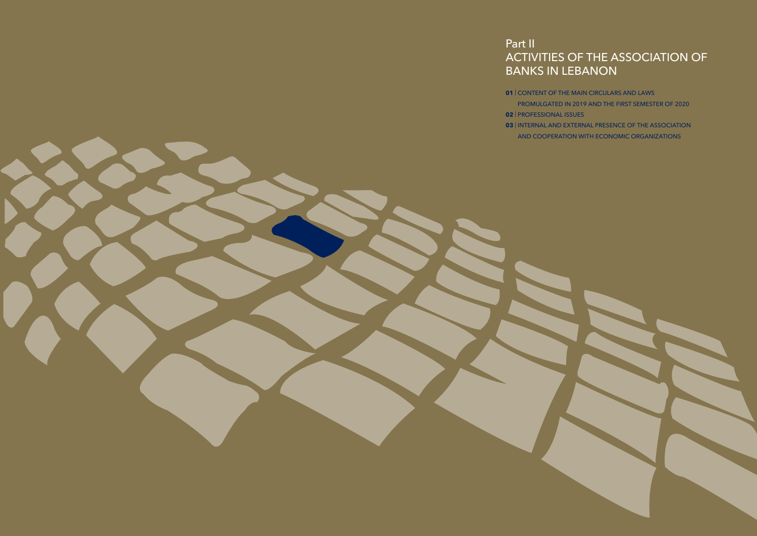# ACTIVITIES OF THE ASSOCIATION OF

## Part II BANKS IN LEBANON

- **01** | CONTENT OF THE MAIN CIRCULARS AND LAWS
	- PROMULGATED IN 2019 AND THE FIRST SEMESTER OF 2020
	- AND COOPERATION WITH ECONOMIC ORGANIZATIONS



- 
- **02** | PROFESSIONAL ISSUES
- **03** | INTERNAL AND EXTERNAL PRESENCE OF THE ASSOCIATION
	-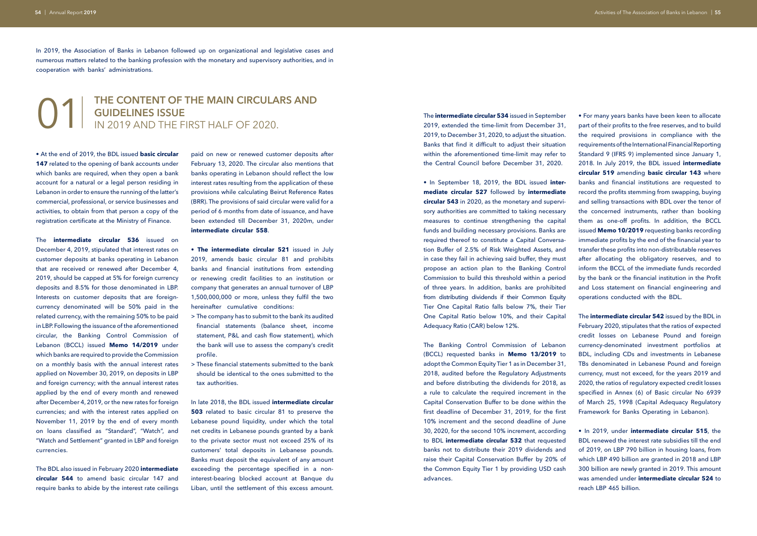#### 01| **THE CONTENT OF THE MAIN CIRCULARS AND GUIDELINES ISSUE** IN 2019 AND THE FIRST HALF OF 2020.

• At the end of 2019, the BDL issued **basic circular**  147 related to the opening of bank accounts under which banks are required, when they open a bank account for a natural or a legal person residing in Lebanon in order to ensure the running of the latter's commercial, professional, or service businesses and activities, to obtain from that person a copy of the registration certificate at the Ministry of Finance.

In 2019, the Association of Banks in Lebanon followed up on organizational and legislative cases and numerous matters related to the banking profession with the monetary and supervisory authorities, and in cooperation with banks' administrations.

The **intermediate circular 536** issued on December 4, 2019, stipulated that interest rates on customer deposits at banks operating in Lebanon that are received or renewed after December 4, 2019, should be capped at 5% for foreign currency deposits and 8.5% for those denominated in LBP. Interests on customer deposits that are foreigncurrency denominated will be 50% paid in the related currency, with the remaining 50% to be paid in LBP. Following the issuance of the aforementioned circular, the Banking Control Commission of Lebanon (BCCL) issued **Memo 14/2019** under which banks are required to provide the Commission on a monthly basis with the annual interest rates applied on November 30, 2019, on deposits in LBP and foreign currency; with the annual interest rates applied by the end of every month and renewed after December 4, 2019, or the new rates for foreign currencies; and with the interest rates applied on November 11, 2019 by the end of every month on loans classified as "Standard", "Watch", and "Watch and Settlement" granted in LBP and foreign currencies.

The BDL also issued in February 2020 **intermediate circular 544** to amend basic circular 147 and require banks to abide by the interest rate ceilings

paid on new or renewed customer deposits after February 13, 2020. The circular also mentions that banks operating in Lebanon should reflect the low interest rates resulting from the application of these provisions while calculating Beirut Reference Rates (BRR). The provisions of said circular were valid for a period of 6 months from date of issuance, and have been extended till December 31, 2020m, under **intermediate circular 558**.

- **The intermediate circular 521** issued in July 2019, amends basic circular 81 and prohibits banks and financial institutions from extending or renewing credit facilities to an institution or company that generates an annual turnover of LBP 1,500,000,000 or more, unless they fulfil the two hereinafter cumulative conditions:
- > The company has to submit to the bank its audited financial statements (balance sheet, income statement, P&L and cash flow statement), which the bank will use to assess the company's credit profile.
- > These financial statements submitted to the bank should be identical to the ones submitted to the tax authorities.

In late 2018, the BDL issued **intermediate circular 503** related to basic circular 81 to preserve the Lebanese pound liquidity, under which the total net credits in Lebanese pounds granted by a bank to the private sector must not exceed 25% of its customers' total deposits in Lebanese pounds. Banks must deposit the equivalent of any amount exceeding the percentage specified in a noninterest-bearing blocked account at Banque du Liban, until the settlement of this excess amount. The **intermediate circular 534** issued in September 2019, extended the time-limit from December 31, 2019, to December 31, 2020, to adjust the situation. Banks that find it difficult to adjust their situation within the aforementioned time-limit may refer to the Central Council before December 31, 2020.

• In September 18, 2019, the BDL issued **intermediate circular 527** followed by **intermediate circular 543** in 2020, as the monetary and supervisory authorities are committed to taking necessary measures to continue strengthening the capital funds and building necessary provisions. Banks are required thereof to constitute a Capital Conversation Buffer of 2.5% of Risk Weighted Assets, and in case they fail in achieving said buffer, they must propose an action plan to the Banking Control Commission to build this threshold within a period of three years. In addition, banks are prohibited from distributing dividends if their Common Equity Tier One Capital Ratio falls below 7%, their Tier One Capital Ratio below 10%, and their Capital Adequacy Ratio (CAR) below 12%.

The Banking Control Commission of Lebanon (BCCL) requested banks in **Memo 13/2019** to adopt the Common Equity Tier 1 as in December 31, 2018, audited before the Regulatory Adjustments and before distributing the dividends for 2018, as a rule to calculate the required increment in the Capital Conservation Buffer to be done within the first deadline of December 31, 2019, for the first 10% increment and the second deadline of June 30, 2020, for the second 10% increment, according to BDL **intermediate circular 532** that requested banks not to distribute their 2019 dividends and raise their Capital Conservation Buffer by 20% of the Common Equity Tier 1 by providing USD cash advances.

• For many years banks have been keen to allocate part of their profits to the free reserves, and to build the required provisions in compliance with the requirements of the International Financial Reporting Standard 9 (IFRS 9) implemented since January 1, 2018. In July 2019, the BDL issued **intermediate circular 519** amending **basic circular 143** where banks and financial institutions are requested to record the profits stemming from swapping, buying and selling transactions with BDL over the tenor of the concerned instruments, rather than booking them as one-off profits. In addition, the BCCL issued **Memo 10/2019** requesting banks recording immediate profits by the end of the financial year to transfer these profits into non-distributable reserves after allocating the obligatory reserves, and to inform the BCCL of the immediate funds recorded by the bank or the financial institution in the Profit and Loss statement on financial engineering and operations conducted with the BDL.

The **intermediate circular 542** issued by the BDL in February 2020, stipulates that the ratios of expected credit losses on Lebanese Pound and foreign currency-denominated investment portfolios at BDL, including CDs and investments in Lebanese TBs denominated in Lebanese Pound and foreign currency, must not exceed, for the years 2019 and 2020, the ratios of regulatory expected credit losses specified in Annex (6) of Basic circular No 6939 of March 25, 1998 (Capital Adequacy Regulatory Framework for Banks Operating in Lebanon).

• In 2019, under **intermediate circular 515**, the BDL renewed the interest rate subsidies till the end of 2019, on LBP 790 billion in housing loans, from which LBP 490 billion are granted in 2018 and LBP 300 billion are newly granted in 2019. This amount was amended under **intermediate circular 524** to reach LBP 465 billion.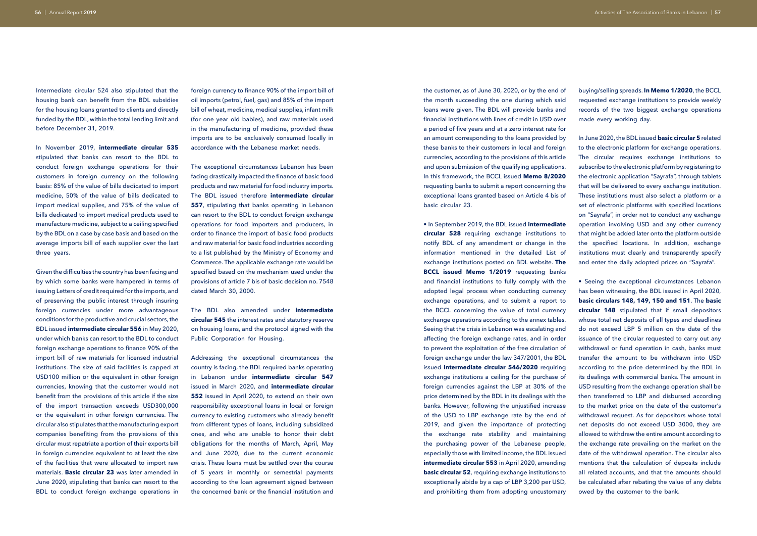Intermediate circular 524 also stipulated that the housing bank can benefit from the BDL subsidies for the housing loans granted to clients and directly funded by the BDL, within the total lending limit and before December 31, 2019.

In November 2019, **intermediate circular 535**  stipulated that banks can resort to the BDL to conduct foreign exchange operations for their customers in foreign currency on the following basis: 85% of the value of bills dedicated to import medicine, 50% of the value of bills dedicated to import medical supplies, and 75% of the value of bills dedicated to import medical products used to manufacture medicine, subject to a ceiling specified by the BDL on a case by case basis and based on the average imports bill of each supplier over the last three years.

Given the difficulties the country has been facing and by which some banks were hampered in terms of issuing Letters of credit required for the imports, and of preserving the public interest through insuring foreign currencies under more advantageous conditions for the productive and crucial sectors, the BDL issued **intermediate circular 556** in May 2020, under which banks can resort to the BDL to conduct foreign exchange operations to finance 90% of the import bill of raw materials for licensed industrial institutions. The size of said facilities is capped at USD100 million or the equivalent in other foreign currencies, knowing that the customer would not benefit from the provisions of this article if the size of the import transaction exceeds USD300,000 or the equivalent in other foreign currencies. The circular also stipulates that the manufacturing export companies benefiting from the provisions of this circular must repatriate a portion of their exports bill in foreign currencies equivalent to at least the size of the facilities that were allocated to import raw materials. **Basic circular 23** was later amended in June 2020, stipulating that banks can resort to the BDL to conduct foreign exchange operations in

foreign currency to finance 90% of the import bill of oil imports (petrol, fuel, gas) and 85% of the import bill of wheat, medicine, medical supplies, infant milk (for one year old babies), and raw materials used in the manufacturing of medicine, provided these imports are to be exclusively consumed locally in accordance with the Lebanese market needs.

The exceptional circumstances Lebanon has been facing drastically impacted the finance of basic food products and raw material for food industry imports. The BDL issued therefore **intermediate circular 557**, stipulating that banks operating in Lebanon can resort to the BDL to conduct foreign exchange operations for food importers and producers, in order to finance the import of basic food products and raw material for basic food industries according to a list published by the Ministry of Economy and Commerce. The applicable exchange rate would be specified based on the mechanism used under the provisions of article 7 bis of basic decision no. 7548 dated March 30, 2000.

The BDL also amended under **intermediate circular 545** the interest rates and statutory reserve on housing loans, and the protocol signed with the Public Corporation for Housing.

Addressing the exceptional circumstances the country is facing, the BDL required banks operating in Lebanon under **intermediate circular 547** issued in March 2020, and **intermediate circular 552** issued in April 2020, to extend on their own responsibility exceptional loans in local or foreign currency to existing customers who already benefit from different types of loans, including subsidized ones, and who are unable to honor their debt obligations for the months of March, April, May and June 2020, due to the current economic crisis. These loans must be settled over the course of 5 years in monthly or semestrial payments according to the loan agreement signed between the concerned bank or the financial institution and

the customer, as of June 30, 2020, or by the end of the month succeeding the one during which said loans were given. The BDL will provide banks and financial institutions with lines of credit in USD over a period of five years and at a zero interest rate for an amount corresponding to the loans provided by these banks to their customers in local and foreign currencies, according to the provisions of this article and upon submission of the qualifying applications. In this framework, the BCCL issued **Memo 8/2020**  requesting banks to submit a report concerning the exceptional loans granted based on Article 4 bis of basic circular 23.

• In September 2019, the BDL issued **intermediate circular 528** requiring exchange institutions to notify BDL of any amendment or change in the information mentioned in the detailed List of exchange institutions posted on BDL website. **The BCCL issued Memo 1/2019** requesting banks and financial institutions to fully comply with the adopted legal process when conducting currency exchange operations, and to submit a report to the BCCL concerning the value of total currency exchange operations according to the annex tables. Seeing that the crisis in Lebanon was escalating and affecting the foreign exchange rates, and in order to prevent the exploitation of the free circulation of foreign exchange under the law 347/2001, the BDL issued **intermediate circular 546/2020** requiring exchange institutions a ceiling for the purchase of foreign currencies against the LBP at 30% of the price determined by the BDL in its dealings with the banks. However, following the unjustified increase of the USD to LBP exchange rate by the end of 2019, and given the importance of protecting the exchange rate stability and maintaining the purchasing power of the Lebanese people, especially those with limited income, the BDL issued **intermediate circular 553** in April 2020, amending **basic circular 52**, requiring exchange institutions to exceptionally abide by a cap of LBP 3,200 per USD, and prohibiting them from adopting uncustomary

buying/selling spreads. **In Memo 1/2020**, the BCCL requested exchange institutions to provide weekly records of the two biggest exchange operations made every working day.

In June 2020, the BDL issued **basic circular 5** related to the electronic platform for exchange operations. The circular requires exchange institutions to subscribe to the electronic platform by registering to the electronic application "Sayrafa", through tablets that will be delivered to every exchange institution. These institutions must also select a platform or a set of electronic platforms with specified locations on "Sayrafa", in order not to conduct any exchange operation involving USD and any other currency that might be added later onto the platform outside the specified locations. In addition, exchange institutions must clearly and transparently specify and enter the daily adopted prices on "Sayrafa".

• Seeing the exceptional circumstances Lebanon has been witnessing, the BDL issued in April 2020, **basic circulars 148, 149, 150 and 151**. The **basic circular 148** stipulated that if small depositors whose total net deposits of all types and deadlines do not exceed LBP 5 million on the date of the issuance of the circular requested to carry out any withdrawal or fund operation in cash, banks must transfer the amount to be withdrawn into USD according to the price determined by the BDL in its dealings with commercial banks. The amount in USD resulting from the exchange operation shall be then transferred to LBP and disbursed according to the market price on the date of the customer's withdrawal request. As for depositors whose total net deposits do not exceed USD 3000, they are allowed to withdraw the entire amount according to the exchange rate prevailing on the market on the date of the withdrawal operation. The circular also mentions that the calculation of deposits include all related accounts, and that the amounts should be calculated after rebating the value of any debts owed by the customer to the bank.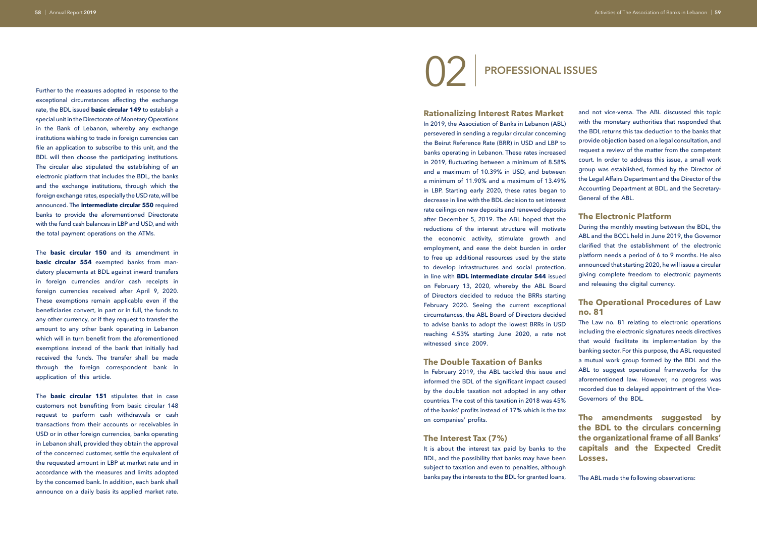Further to the measures adopted in response to the exceptional circumstances affecting the exchange rate, the BDL issued **basic circular 149** to establish a special unit in the Directorate of Monetary Operations in the Bank of Lebanon, whereby any exchange institutions wishing to trade in foreign currencies can file an application to subscribe to this unit, and the BDL will then choose the participating institutions. The circular also stipulated the establishing of an electronic platform that includes the BDL, the banks and the exchange institutions, through which the foreign exchange rates, especially the USD rate, will be announced. The **intermediate circular 550** required banks to provide the aforementioned Directorate with the fund cash balances in LBP and USD, and with the total payment operations on the ATMs.

The **basic circular 150** and its amendment in **basic circular 554** exempted banks from mandatory placements at BDL against inward transfers in foreign currencies and/or cash receipts in foreign currencies received after April 9, 2020. These exemptions remain applicable even if the beneficiaries convert, in part or in full, the funds to any other currency, or if they request to transfer the amount to any other bank operating in Lebanon which will in turn benefit from the aforementioned exemptions instead of the bank that initially had received the funds. The transfer shall be made through the foreign correspondent bank in application of this article.

The **basic circular 151** stipulates that in case customers not benefiting from basic circular 148 request to perform cash withdrawals or cash transactions from their accounts or receivables in USD or in other foreign currencies, banks operating in Lebanon shall, provided they obtain the approval of the concerned customer, settle the equivalent of the requested amount in LBP at market rate and in accordance with the measures and limits adopted by the concerned bank. In addition, each bank shall announce on a daily basis its applied market rate.

02

| **PROFESSIONAL ISSUES**

#### **Rationalizing Interest Rates Market**

In 2019, the Association of Banks in Lebanon (ABL) persevered in sending a regular circular concerning the Beirut Reference Rate (BRR) in USD and LBP to banks operating in Lebanon. These rates increased in 2019, fluctuating between a minimum of 8.58% and a maximum of 10.39% in USD, and between a minimum of 11.90% and a maximum of 13.49% in LBP. Starting early 2020, these rates began to decrease in line with the BDL decision to set interest rate ceilings on new deposits and renewed deposits after December 5, 2019. The ABL hoped that the reductions of the interest structure will motivate the economic activity, stimulate growth and employment, and ease the debt burden in order to free up additional resources used by the state to develop infrastructures and social protection, in line with **BDL intermediate circular 544** issued on February 13, 2020, whereby the ABL Board of Directors decided to reduce the BRRs starting February 2020. Seeing the current exceptional circumstances, the ABL Board of Directors decided to advise banks to adopt the lowest BRRs in USD reaching 4.53% starting June 2020, a rate not witnessed since 2009.

#### **The Double Taxation of Banks**

In February 2019, the ABL tackled this issue and informed the BDL of the significant impact caused by the double taxation not adopted in any other countries. The cost of this taxation in 2018 was 45% of the banks' profits instead of 17% which is the tax on companies' profits.

#### **The Interest Tax (7%)**

It is about the interest tax paid by banks to the BDL, and the possibility that banks may have been subject to taxation and even to penalties, although banks pay the interests to the BDL for granted loans,

and not vice-versa. The ABL discussed this topic with the monetary authorities that responded that the BDL returns this tax deduction to the banks that provide objection based on a legal consultation, and request a review of the matter from the competent court. In order to address this issue, a small work group was established, formed by the Director of the Legal Affairs Department and the Director of the Accounting Department at BDL, and the Secretary-General of the ABL.

#### **The Electronic Platform**

During the monthly meeting between the BDL, the ABL and the BCCL held in June 2019, the Governor clarified that the establishment of the electronic platform needs a period of 6 to 9 months. He also announced that starting 2020, he will issue a circular giving complete freedom to electronic payments and releasing the digital currency.

#### **The Operational Procedures of Law no. 81**

The Law no. 81 relating to electronic operations including the electronic signatures needs directives that would facilitate its implementation by the banking sector. For this purpose, the ABL requested a mutual work group formed by the BDL and the ABL to suggest operational frameworks for the aforementioned law. However, no progress was recorded due to delayed appointment of the Vice-Governors of the BDL.

**The amendments suggested by the BDL to the circulars concerning the organizational frame of all Banks' capitals and the Expected Credit Losses.** 

The ABL made the following observations: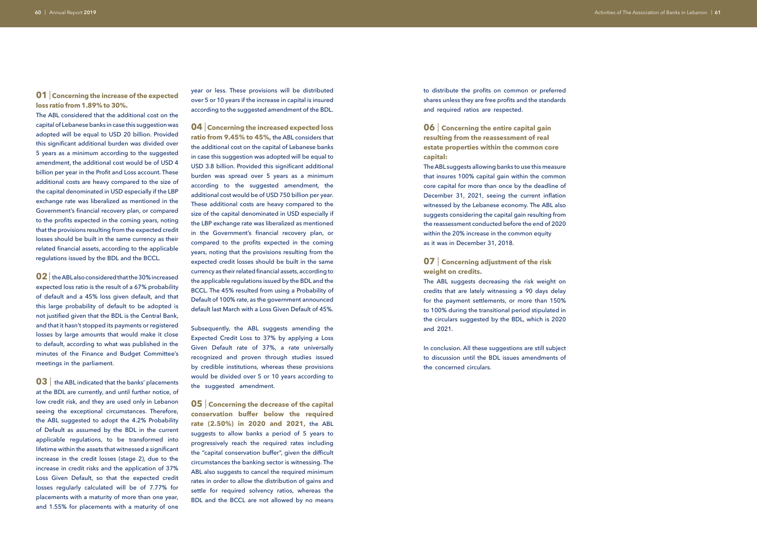#### **01** | **Concerning the increase of the expected loss ratio from 1.89% to 30%.**

The ABL considered that the additional cost on the capital of Lebanese banks in case this suggestion was adopted will be equal to USD 20 billion. Provided this significant additional burden was divided over 5 years as a minimum according to the suggested amendment, the additional cost would be of USD 4 billion per year in the Profit and Loss account. These additional costs are heavy compared to the size of the capital denominated in USD especially if the LBP exchange rate was liberalized as mentioned in the Government's financial recovery plan, or compared to the profits expected in the coming years, noting that the provisions resulting from the expected credit losses should be built in the same currency as their related financial assets, according to the applicable regulations issued by the BDL and the BCCL.

**03** the ABL indicated that the banks' placements at the BDL are currently, and until further notice, of low credit risk, and they are used only in Lebanon seeing the exceptional circumstances. Therefore, the ABL suggested to adopt the 4.2% Probability of Default as assumed by the BDL in the current applicable regulations, to be transformed into lifetime within the assets that witnessed a significant increase in the credit losses (stage 2), due to the increase in credit risks and the application of 37% Loss Given Default, so that the expected credit losses regularly calculated will be of 7.77% for placements with a maturity of more than one year, and 1.55% for placements with a maturity of one

**02** |the ABL also considered that the 30% increased expected loss ratio is the result of a 67% probability of default and a 45% loss given default, and that this large probability of default to be adopted is not justified given that the BDL is the Central Bank, and that it hasn't stopped its payments or registered losses by large amounts that would make it close to default, according to what was published in the minutes of the Finance and Budget Committee's meetings in the parliament.

year or less. These provisions will be distributed over 5 or 10 years if the increase in capital is insured according to the suggested amendment of the BDL.

> In conclusion. All these suggestions are still subject to discussion until the BDL issues amendments of the concerned circulars.

**04** | **Concerning the increased expected loss ratio from 9.45% to 45%,** the ABL considers that the additional cost on the capital of Lebanese banks in case this suggestion was adopted will be equal to USD 3.8 billion. Provided this significant additional burden was spread over 5 years as a minimum according to the suggested amendment, the additional cost would be of USD 750 billion per year. These additional costs are heavy compared to the size of the capital denominated in USD especially if the LBP exchange rate was liberalized as mentioned in the Government's financial recovery plan, or compared to the profits expected in the coming years, noting that the provisions resulting from the expected credit losses should be built in the same currency as their related financial assets, according to the applicable regulations issued by the BDL and the BCCL. The 45% resulted from using a Probability of Default of 100% rate, as the government announced default last March with a Loss Given Default of 45%.

Subsequently, the ABL suggests amending the Expected Credit Loss to 37% by applying a Loss Given Default rate of 37%, a rate universally recognized and proven through studies issued by credible institutions, whereas these provisions would be divided over 5 or 10 years according to the suggested amendment.

**05** | **Concerning the decrease of the capital conservation buffer below the required rate (2.50%) in 2020 and 2021,** the ABL suggests to allow banks a period of 5 years to progressively reach the required rates including the "capital conservation buffer", given the difficult circumstances the banking sector is witnessing. The ABL also suggests to cancel the required minimum rates in order to allow the distribution of gains and settle for required solvency ratios, whereas the BDL and the BCCL are not allowed by no means to distribute the profits on common or preferred shares unless they are free profits and the standards and required ratios are respected.

#### **06** | **Concerning the entire capital gain resulting from the reassessment of real estate properties within the common core capital:**

The ABL suggests allowing banks to use this measure that insures 100% capital gain within the common core capital for more than once by the deadline of December 31, 2021, seeing the current inflation witnessed by the Lebanese economy. The ABL also suggests considering the capital gain resulting from the reassessment conducted before the end of 2020 within the 20% increase in the common equity as it was in December 31, 2018.

#### **07** | **Concerning adjustment of the risk weight on credits.**

The ABL suggests decreasing the risk weight on credits that are lately witnessing a 90 days delay for the payment settlements, or more than 150% to 100% during the transitional period stipulated in the circulars suggested by the BDL, which is 2020 and 2021.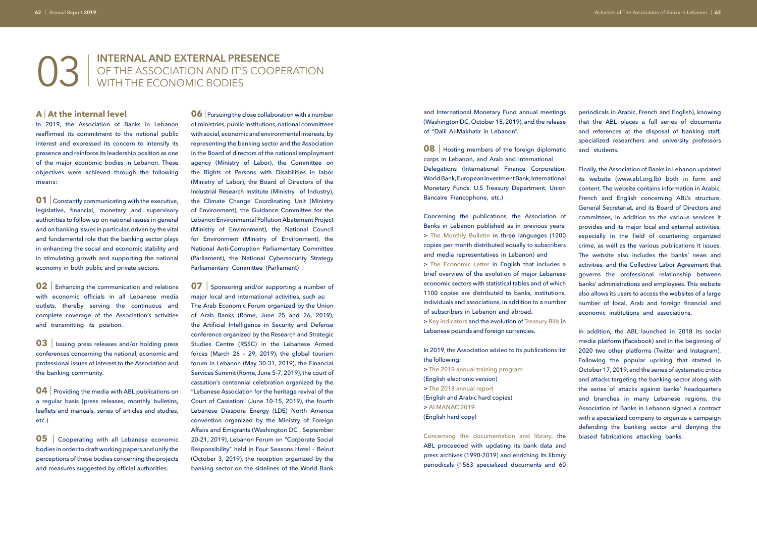### 03 | **INTERNAL AND EXTERNAL PRESENCE**  OF THE ASSOCIATION AND IT'S COOPERATION WITH THE ECONOMIC BODIES

#### **A** | **At the internal level**

In 2019, the Association of Banks in Lebanon reaffirmed its commitment to the national public interest and expressed its concern to intensify its presence and reinforce its leadership position as one of the major economic bodies in Lebanon. These objectives were achieved through the following means:

**01** Constantly communicating with the executive, legislative, financial, monetary and supervisory authorities to follow up on national issues in general and on banking issues in particular, driven by the vital and fundamental role that the banking sector plays in enhancing the social and economic stability and in stimulating growth and supporting the national economy in both public and private sectors.

**02** Enhancing the communication and relations with economic officials in all Lebanese media outlets, thereby serving the continuous and complete coverage of the Association's activities and transmitting its position.

**03** Issuing press releases and/or holding press conferences concerning the national, economic and professional issues of interest to the Association and the banking community.

**04** Providing the media with ABL publications on a regular basis (press releases, monthly bulletins, leaflets and manuals, series of articles and studies, etc.)

**05** Cooperating with all Lebanese economic bodies in order to draft working papers and unify the perceptions of these bodies concerning the projects and measures suggested by official authorities.

**06** Pursuing the close collaboration with a number of ministries, public institutions, national committees with social, economic and environmental interests, by representing the banking sector and the Association in the Board of directors of the national employment agency (Ministry of Labor), the Committee on the Rights of Persons with Disabilities in labor (Ministry of Labor), the Board of Directors of the Industrial Research Institute (Ministry of Industry), the Climate Change Coordinating Unit (Ministry of Environment), the Guidance Committee for the Lebanon Environmental Pollution Abatement Project (Ministry of Environment), the National Council for Environment (Ministry of Environment), the National Anti-Corruption Parliamentary Committee (Parliament), the National Cybersecurity Strategy Parliamentary Committee (Parliament) .

**07** Sponsoring and/or supporting a number of major local and international activities, such as: The Arab Economic Forum organized by the Union of Arab Banks (Rome, June 25 and 26, 2019), the Artificial Intelligence in Security and Defense conference organized by the Research and Strategic Studies Centre (RSSC) in the Lebanese Armed forces (March 26 – 29, 2019), the global tourism forum in Lebanon (May 30-31, 2019), the Financial Services Summit (Rome, June 5-7, 2019), the court of cassation's centennial celebration organized by the "Lebanese Association for the heritage revival of the Court of Cassation" (June 10-15, 2019), the fourth Lebanese Diaspora Energy (LDE) North America convention organized by the Ministry of Foreign Affairs and Emigrants (Washington DC , September 20-21, 2019), Lebanon Forum on "Corporate Social Responsibility" held in Four Seasons Hotel – Beirut (October 3, 2019), the reception organized by the banking sector on the sidelines of the World Bank

**08** | Hosting members of the foreign diplomatic corps in Lebanon, and Arab and international Delegations (International Finance Corporation, World Bank, European Investment Bank, International Monetary Funds, U.S Treasury Department, Union Bancaire Francophone, etc.)

and International Monetary Fund annual meetings (Washington DC, October 18, 2019), and the release of "Dalil Al-Makhatir in Lebanon".

Concerning the publications, the Association of Banks in Lebanon published as in previous years: > The Monthly Bulletin in three languages (1200 copies per month distributed equally to subscribers and media representatives in Lebanon) and

> The Economic Letter in English that includes a brief overview of the evolution of major Lebanese economic sectors with statistical tables and of which 1100 copies are distributed to banks, institutions, individuals and associations, in addition to a number of subscribers in Lebanon and abroad.

> Key indicators and the evolution of Treasury Bills in Lebanese pounds and foreign currencies.

In 2019, the Association added to its publications list the following:

> The 2019 annual training program (English electronic version) > The 2018 annual report (English and Arabic hard copies) > ALMANAC 2019 (English hard copy)

Concerning the documentation and library, the ABL proceeded with updating its bank data and press archives (1990-2019) and enriching its library periodicals (1563 specialized documents and 60 periodicals in Arabic, French and English), knowing that the ABL places a full series of documents and references at the disposal of banking staff, specialized researchers and university professors and students.

Finally, the Association of Banks in Lebanon updated its website (www.abl.org.lb) both in form and content. The website contains information in Arabic, French and English concerning ABL's structure, General Secretariat, and its Board of Directors and committees, in addition to the various services it provides and its major local and external activities, especially in the field of countering organized crime, as well as the various publications it issues. The website also includes the banks' news and activities, and the Collective Labor Agreement that governs the professional relationship between banks' administrations and employees. This website also allows its users to access the websites of a large number of local, Arab and foreign financial and economic institutions and associations.

In addition, the ABL launched in 2018 its social media platform (Facebook) and in the beginning of 2020 two other platforms (Twitter and Instagram). Following the popular uprising that started in October 17, 2019, and the series of systematic critics and attacks targeting the banking sector along with the series of attacks against banks' headquarters and branches in many Lebanese regions, the Association of Banks in Lebanon signed a contract with a specialized company to organize a campaign defending the banking sector and denying the biased fabrications attacking banks.